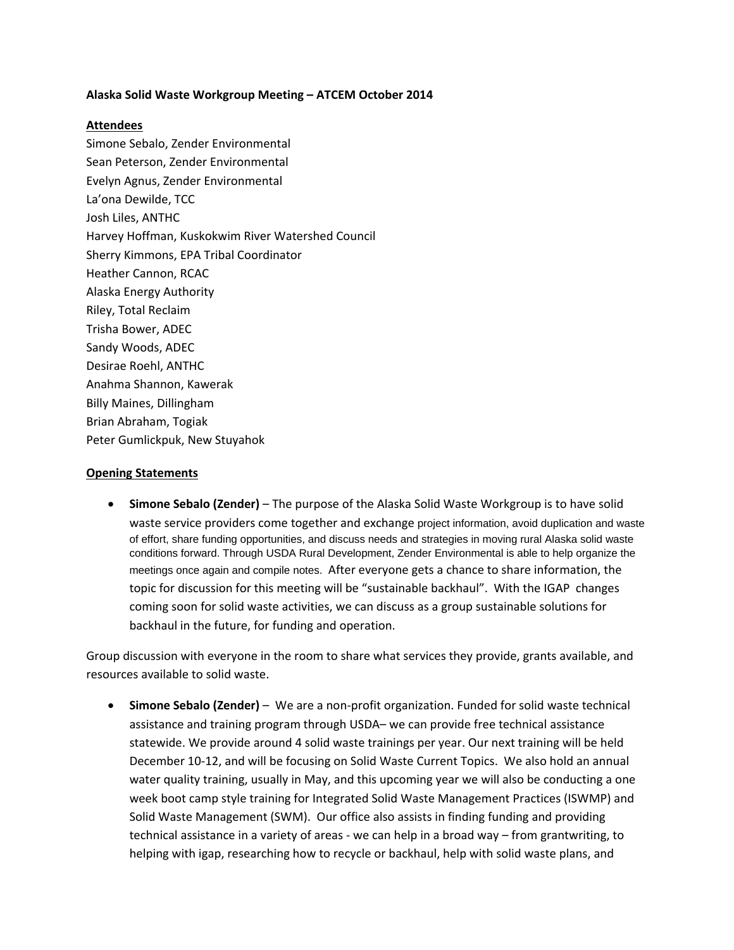## **Alaska Solid Waste Workgroup Meeting – ATCEM October 2014**

## **Attendees**

Simone Sebalo, Zender Environmental Sean Peterson, Zender Environmental Evelyn Agnus, Zender Environmental La'ona Dewilde, TCC Josh Liles, ANTHC Harvey Hoffman, Kuskokwim River Watershed Council Sherry Kimmons, EPA Tribal Coordinator Heather Cannon, RCAC Alaska Energy Authority Riley, Total Reclaim Trisha Bower, ADEC Sandy Woods, ADEC Desirae Roehl, ANTHC Anahma Shannon, Kawerak Billy Maines, Dillingham Brian Abraham, Togiak Peter Gumlickpuk, New Stuyahok

## **Opening Statements**

 **Simone Sebalo (Zender)** – The purpose of the Alaska Solid Waste Workgroup is to have solid waste service providers come together and exchange project information, avoid duplication and waste of effort, share funding opportunities, and discuss needs and strategies in moving rural Alaska solid waste conditions forward. Through USDA Rural Development, Zender Environmental is able to help organize the meetings once again and compile notes. After everyone gets a chance to share information, the topic for discussion for this meeting will be "sustainable backhaul". With the IGAP changes coming soon for solid waste activities, we can discuss as a group sustainable solutions for backhaul in the future, for funding and operation.

Group discussion with everyone in the room to share what services they provide, grants available, and resources available to solid waste.

 **Simone Sebalo (Zender)** – We are a non‐profit organization. Funded for solid waste technical assistance and training program through USDA– we can provide free technical assistance statewide. We provide around 4 solid waste trainings per year. Our next training will be held December 10‐12, and will be focusing on Solid Waste Current Topics. We also hold an annual water quality training, usually in May, and this upcoming year we will also be conducting a one week boot camp style training for Integrated Solid Waste Management Practices (ISWMP) and Solid Waste Management (SWM). Our office also assists in finding funding and providing technical assistance in a variety of areas ‐ we can help in a broad way – from grantwriting, to helping with igap, researching how to recycle or backhaul, help with solid waste plans, and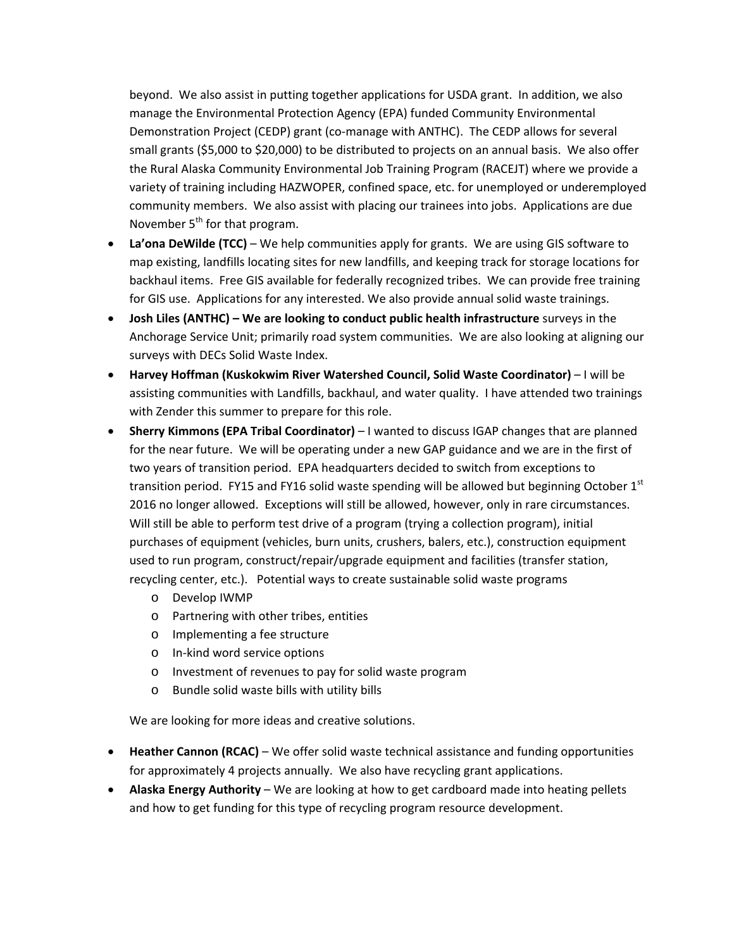beyond. We also assist in putting together applications for USDA grant. In addition, we also manage the Environmental Protection Agency (EPA) funded Community Environmental Demonstration Project (CEDP) grant (co-manage with ANTHC). The CEDP allows for several small grants (\$5,000 to \$20,000) to be distributed to projects on an annual basis. We also offer the Rural Alaska Community Environmental Job Training Program (RACEJT) where we provide a variety of training including HAZWOPER, confined space, etc. for unemployed or underemployed community members. We also assist with placing our trainees into jobs. Applications are due November  $5<sup>th</sup>$  for that program.

- **La'ona DeWilde (TCC)** We help communities apply for grants. We are using GIS software to map existing, landfills locating sites for new landfills, and keeping track for storage locations for backhaul items. Free GIS available for federally recognized tribes. We can provide free training for GIS use. Applications for any interested. We also provide annual solid waste trainings.
- **Josh Liles (ANTHC) – We are looking to conduct public health infrastructure** surveys in the Anchorage Service Unit; primarily road system communities. We are also looking at aligning our surveys with DECs Solid Waste Index.
- **Harvey Hoffman (Kuskokwim River Watershed Council, Solid Waste Coordinator)** I will be assisting communities with Landfills, backhaul, and water quality. I have attended two trainings with Zender this summer to prepare for this role.
- **Sherry Kimmons (EPA Tribal Coordinator)** I wanted to discuss IGAP changes that are planned for the near future. We will be operating under a new GAP guidance and we are in the first of two years of transition period. EPA headquarters decided to switch from exceptions to transition period. FY15 and FY16 solid waste spending will be allowed but beginning October  $1<sup>st</sup>$ 2016 no longer allowed. Exceptions will still be allowed, however, only in rare circumstances. Will still be able to perform test drive of a program (trying a collection program), initial purchases of equipment (vehicles, burn units, crushers, balers, etc.), construction equipment used to run program, construct/repair/upgrade equipment and facilities (transfer station, recycling center, etc.). Potential ways to create sustainable solid waste programs
	- o Develop IWMP
	- o Partnering with other tribes, entities
	- o Implementing a fee structure
	- o In‐kind word service options
	- o Investment of revenues to pay for solid waste program
	- o Bundle solid waste bills with utility bills

We are looking for more ideas and creative solutions.

- **Heather Cannon (RCAC)** We offer solid waste technical assistance and funding opportunities for approximately 4 projects annually. We also have recycling grant applications.
- **Alaska Energy Authority** We are looking at how to get cardboard made into heating pellets and how to get funding for this type of recycling program resource development.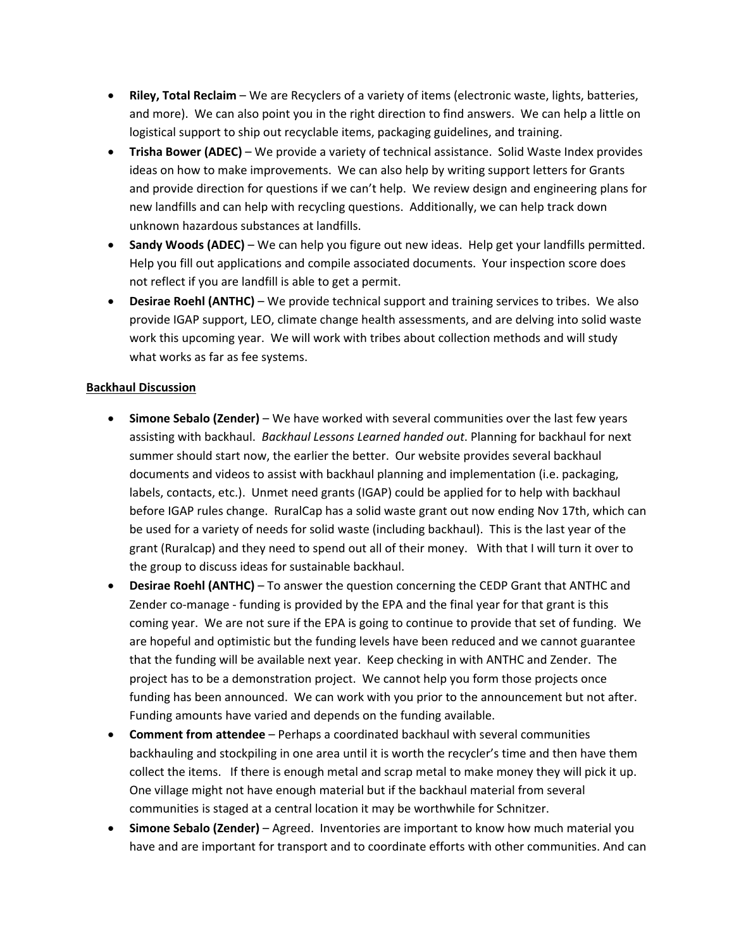- **Riley, Total Reclaim** We are Recyclers of a variety of items (electronic waste, lights, batteries, and more). We can also point you in the right direction to find answers. We can help a little on logistical support to ship out recyclable items, packaging guidelines, and training.
- **Trisha Bower (ADEC)** We provide a variety of technical assistance. Solid Waste Index provides ideas on how to make improvements. We can also help by writing support letters for Grants and provide direction for questions if we can't help. We review design and engineering plans for new landfills and can help with recycling questions. Additionally, we can help track down unknown hazardous substances at landfills.
- **Sandy Woods (ADEC)** We can help you figure out new ideas. Help get your landfills permitted. Help you fill out applications and compile associated documents. Your inspection score does not reflect if you are landfill is able to get a permit.
- **Desirae Roehl (ANTHC)** We provide technical support and training services to tribes. We also provide IGAP support, LEO, climate change health assessments, and are delving into solid waste work this upcoming year. We will work with tribes about collection methods and will study what works as far as fee systems.

## **Backhaul Discussion**

- **Simone Sebalo (Zender)** We have worked with several communities over the last few years assisting with backhaul. *Backhaul Lessons Learned handed out*. Planning for backhaul for next summer should start now, the earlier the better. Our website provides several backhaul documents and videos to assist with backhaul planning and implementation (i.e. packaging, labels, contacts, etc.). Unmet need grants (IGAP) could be applied for to help with backhaul before IGAP rules change. RuralCap has a solid waste grant out now ending Nov 17th, which can be used for a variety of needs for solid waste (including backhaul). This is the last year of the grant (Ruralcap) and they need to spend out all of their money. With that I will turn it over to the group to discuss ideas for sustainable backhaul.
- **Desirae Roehl (ANTHC)** To answer the question concerning the CEDP Grant that ANTHC and Zender co‐manage ‐ funding is provided by the EPA and the final year for that grant is this coming year. We are not sure if the EPA is going to continue to provide that set of funding. We are hopeful and optimistic but the funding levels have been reduced and we cannot guarantee that the funding will be available next year. Keep checking in with ANTHC and Zender. The project has to be a demonstration project. We cannot help you form those projects once funding has been announced. We can work with you prior to the announcement but not after. Funding amounts have varied and depends on the funding available.
- **Comment from attendee** Perhaps a coordinated backhaul with several communities backhauling and stockpiling in one area until it is worth the recycler's time and then have them collect the items. If there is enough metal and scrap metal to make money they will pick it up. One village might not have enough material but if the backhaul material from several communities is staged at a central location it may be worthwhile for Schnitzer.
- **Simone Sebalo (Zender)** Agreed. Inventories are important to know how much material you have and are important for transport and to coordinate efforts with other communities. And can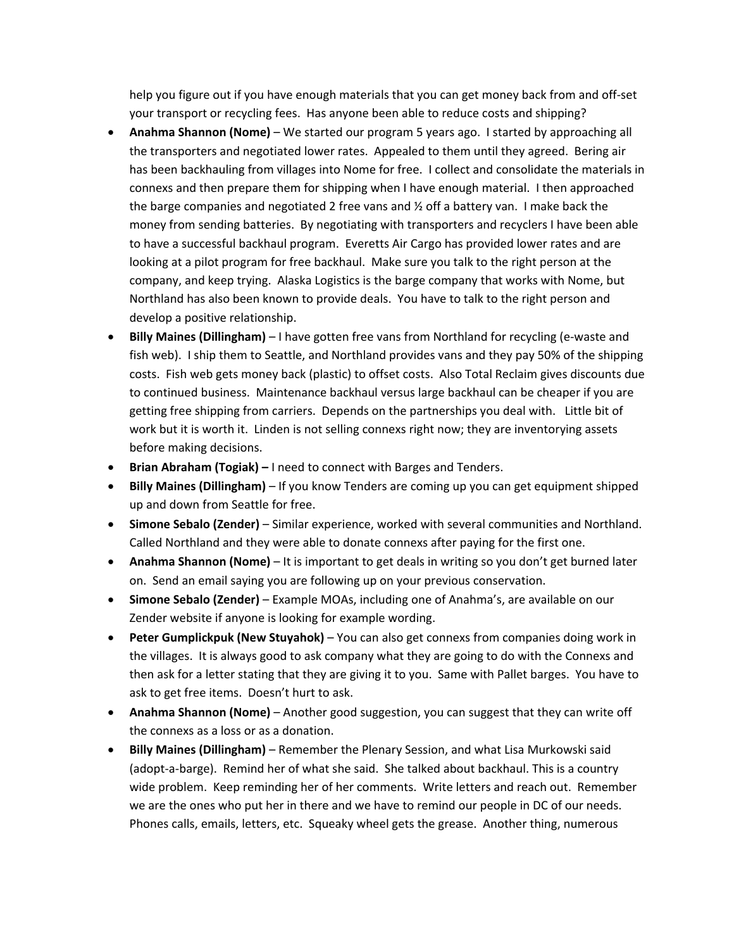help you figure out if you have enough materials that you can get money back from and off‐set your transport or recycling fees. Has anyone been able to reduce costs and shipping?

- **Anahma Shannon (Nome)** We started our program 5 years ago. I started by approaching all the transporters and negotiated lower rates. Appealed to them until they agreed. Bering air has been backhauling from villages into Nome for free. I collect and consolidate the materials in connexs and then prepare them for shipping when I have enough material. I then approached the barge companies and negotiated 2 free vans and  $\frac{1}{2}$  off a battery van. I make back the money from sending batteries. By negotiating with transporters and recyclers I have been able to have a successful backhaul program. Everetts Air Cargo has provided lower rates and are looking at a pilot program for free backhaul. Make sure you talk to the right person at the company, and keep trying. Alaska Logistics is the barge company that works with Nome, but Northland has also been known to provide deals. You have to talk to the right person and develop a positive relationship.
- **Billy Maines (Dillingham)** I have gotten free vans from Northland for recycling (e-waste and fish web). I ship them to Seattle, and Northland provides vans and they pay 50% of the shipping costs. Fish web gets money back (plastic) to offset costs. Also Total Reclaim gives discounts due to continued business. Maintenance backhaul versus large backhaul can be cheaper if you are getting free shipping from carriers. Depends on the partnerships you deal with. Little bit of work but it is worth it. Linden is not selling connexs right now; they are inventorying assets before making decisions.
- **Brian Abraham (Togiak) –** I need to connect with Barges and Tenders.
- **Billy Maines (Dillingham)** If you know Tenders are coming up you can get equipment shipped up and down from Seattle for free.
- **Simone Sebalo (Zender)** Similar experience, worked with several communities and Northland. Called Northland and they were able to donate connexs after paying for the first one.
- **Anahma Shannon (Nome)** It is important to get deals in writing so you don't get burned later on. Send an email saying you are following up on your previous conservation.
- **Simone Sebalo (Zender)** Example MOAs, including one of Anahma's, are available on our Zender website if anyone is looking for example wording.
- **Peter Gumplickpuk (New Stuyahok)** You can also get connexs from companies doing work in the villages. It is always good to ask company what they are going to do with the Connexs and then ask for a letter stating that they are giving it to you. Same with Pallet barges. You have to ask to get free items. Doesn't hurt to ask.
- **Anahma Shannon (Nome)** Another good suggestion, you can suggest that they can write off the connexs as a loss or as a donation.
- **Billy Maines (Dillingham)** Remember the Plenary Session, and what Lisa Murkowski said (adopt‐a‐barge). Remind her of what she said. She talked about backhaul. This is a country wide problem. Keep reminding her of her comments. Write letters and reach out. Remember we are the ones who put her in there and we have to remind our people in DC of our needs. Phones calls, emails, letters, etc. Squeaky wheel gets the grease. Another thing, numerous